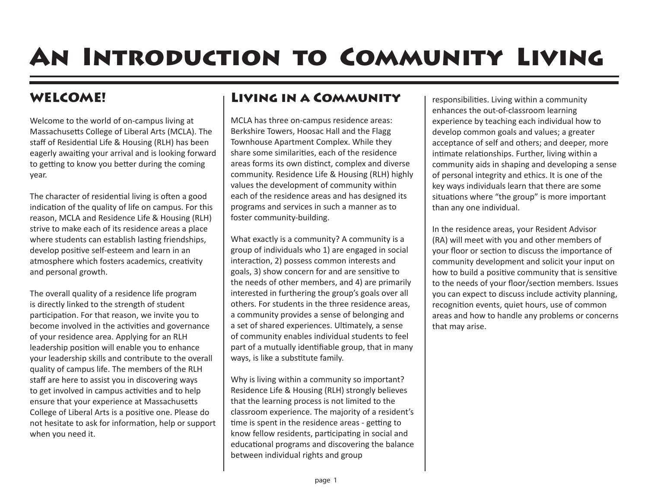# An Introduction to Community Living

### WELCOME!

Welcome to the world of on-campus living at Massachusetts College of Liberal Arts (MCLA). The staff of Residential Life & Housing (RLH) has been eagerly awaiting your arrival and is looking forward to getting to know you better during the coming year.

The character of residential living is often a good indication of the quality of life on campus. For this reason, MCLA and Residence Life & Housing (RLH) strive to make each of its residence areas a place where students can establish lasting friendships, develop positive self-esteem and learn in an atmosphere which fosters academics, creativity and personal growth.

The overall quality of a residence life program is directly linked to the strength of student participation. For that reason, we invite you to become involved in the activities and governance of your residence area. Applying for an RLH leadership position will enable you to enhance your leadership skills and contribute to the overall quality of campus life. The members of the RLH staff are here to assist you in discovering ways to get involved in campus activities and to help ensure that your experience at Massachusetts College of Liberal Arts is a positive one. Please do not hesitate to ask for information, help or support when you need it.

## Living in a Community

MCLA has three on-campus residence areas: Berkshire Towers, Hoosac Hall and the Flagg Townhouse Apartment Complex. While they share some similarities, each of the residence areas forms its own distinct, complex and diverse community. Residence Life & Housing (RLH) highly values the development of community within each of the residence areas and has designed its programs and services in such a manner as to foster community-building.

What exactly is a community? A community is a group of individuals who 1) are engaged in social interaction, 2) possess common interests and goals, 3) show concern for and are sensitive to the needs of other members, and 4) are primarily interested in furthering the group's goals over all others. For students in the three residence areas, a community provides a sense of belonging and a set of shared experiences. Ultimately, a sense of community enables individual students to feel part of a mutually identifiable group, that in many ways, is like a substitute family.

Why is living within a community so important? Residence Life & Housing (RLH) strongly believes that the learning process is not limited to the classroom experience. The majority of a resident's time is spent in the residence areas - getting to know fellow residents, participating in social and educational programs and discovering the balance between individual rights and group

responsibilities. Living within a community enhances the out-of-classroom learning experience by teaching each individual how to develop common goals and values; a greater acceptance of self and others; and deeper, more intimate relationships. Further, living within a community aids in shaping and developing a sense of personal integrity and ethics. It is one of the key ways individuals learn that there are some situations where "the group" is more important than any one individual.

In the residence areas, your Resident Advisor (RA) will meet with you and other members of your floor or section to discuss the importance of community development and solicit your input on how to build a positive community that is sensitive to the needs of your floor/section members. Issues you can expect to discuss include activity planning, recognition events, quiet hours, use of common areas and how to handle any problems or concerns that may arise.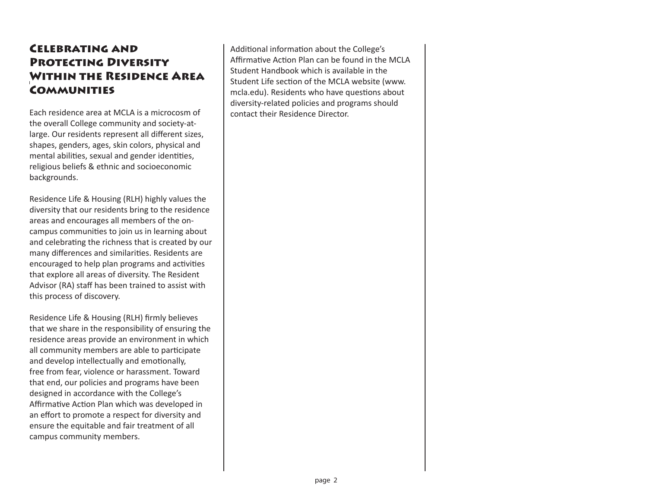### Celebrating and Protecting Diversity Within the Residence Area **COMMUNITIES**

Each residence area at MCLA is a microcosm of the overall College community and society-atlarge. Our residents represent all different sizes, shapes, genders, ages, skin colors, physical and mental abilities, sexual and gender identities, religious beliefs & ethnic and socioeconomic backgrounds.

Residence Life & Housing (RLH) highly values the diversity that our residents bring to the residence areas and encourages all members of the oncampus communities to join us in learning about and celebrating the richness that is created by our many differences and similarities. Residents are encouraged to help plan programs and activities that explore all areas of diversity. The Resident Advisor (RA) staff has been trained to assist with this process of discovery.

Residence Life & Housing (RLH) firmly believes that we share in the responsibility of ensuring the residence areas provide an environment in which all community members are able to participate and develop intellectually and emotionally, free from fear, violence or harassment. Toward that end, our policies and programs have been designed in accordance with the College's Affirmative Action Plan which was developed in an effort to promote a respect for diversity and ensure the equitable and fair treatment of all campus community members.

Additional information about the College's Affirmative Action Plan can be found in the MCLA Student Handbook which is available in the Student Life section of the MCLA website (www. mcla.edu). Residents who have questions about diversity-related policies and programs should contact their Residence Director.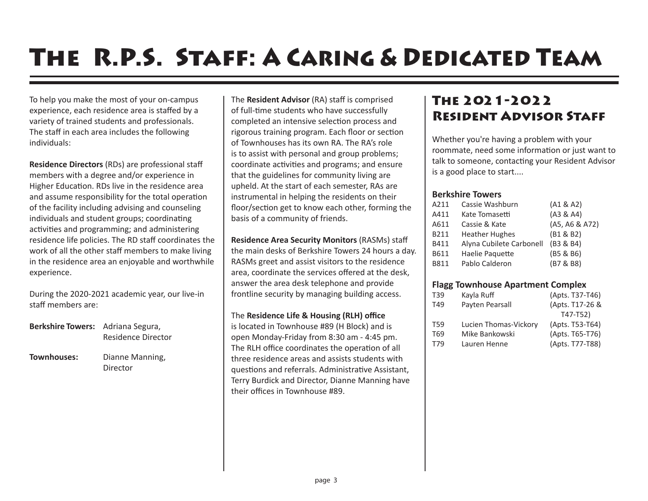# The R.P.S. Staff: A Caring & Dedicated Team

To help you make the most of your on-campus experience, each residence area is staffed by a variety of trained students and professionals. The staff in each area includes the following individuals:

**Residence Directors** (RDs) are professional staff members with a degree and/or experience in Higher Education. RDs live in the residence area and assume responsibility for the total operation of the facility including advising and counseling individuals and student groups; coordinating activities and programming; and administering residence life policies. The RD staff coordinates the work of all the other staff members to make living in the residence area an enjoyable and worthwhile experience.

During the 2020-2021 academic year, our live-in staff members are:

| <b>Berkshire Towers:</b> | Adriana Segura,<br>Residence Director |
|--------------------------|---------------------------------------|
| Townhouses:              | Dianne Manning,<br>Director           |

The **Resident Advisor** (RA) staff is comprised of full-time students who have successfully completed an intensive selection process and rigorous training program. Each floor or section of Townhouses has its own RA. The RA's role is to assist with personal and group problems; coordinate activities and programs; and ensure that the guidelines for community living are upheld. At the start of each semester, RAs are instrumental in helping the residents on their floor/section get to know each other, forming the basis of a community of friends.

**Residence Area Security Monitors** (RASMs) staff the main desks of Berkshire Towers 24 hours a day. RASMs greet and assist visitors to the residence area, coordinate the services offered at the desk, answer the area desk telephone and provide frontline security by managing building access.

#### The **Residence Life & Housing (RLH) office**

is located in Townhouse #89 (H Block) and is open Monday-Friday from 8:30 am - 4:45 pm. The RLH office coordinates the operation of all three residence areas and assists students with questions and referrals. Administrative Assistant, Terry Burdick and Director, Dianne Manning have their offices in Townhouse #89.

## The 2021-2022 Resident Advisor Staff

Whether you're having a problem with your roommate, need some information or just want to talk to someone, contacting your Resident Advisor is a good place to start....

### **Berkshire Towers**

| A211 | Cassie Washburn          | (A1 & A2)      |
|------|--------------------------|----------------|
| A411 | Kate Tomasetti           | (A3 & A4)      |
| A611 | Cassie & Kate            | (A5, A6 & A72) |
| B211 | <b>Heather Hughes</b>    | (B1 & B2)      |
| B411 | Alyna Cubilete Carbonell | (B3 & B4)      |
| B611 | Haelie Paquette          | (B5 & B6)      |
| B811 | Pablo Calderon           | (B7 & B8)      |

### **Flagg Townhouse Apartment Complex**

| T39 | Kayla Ruff            | (Apts. T37-T46) |
|-----|-----------------------|-----------------|
| T49 | Payten Pearsall       | (Apts. T17-26 & |
|     |                       | $T47-T52)$      |
| T59 | Lucien Thomas-Vickory | (Apts. T53-T64) |
| T69 | Mike Bankowski        | (Apts. T65-T76) |
| T79 | Lauren Henne          | (Apts. T77-T88) |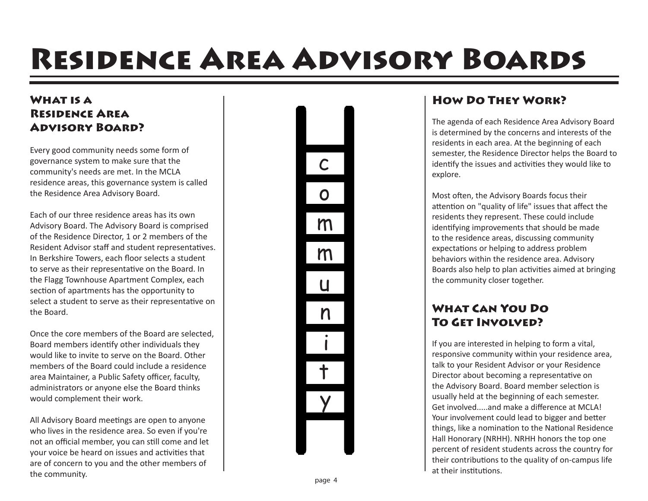# Residence Area Advisory Boards

### WHAT IS A Residence Area Advisory Board?

Every good community needs some form of governance system to make sure that the community's needs are met. In the MCLA residence areas, this governance system is called the Residence Area Advisory Board.

Each of our three residence areas has its own Advisory Board. The Advisory Board is comprised of the Residence Director, 1 or 2 members of the Resident Advisor staff and student representatives. In Berkshire Towers, each floor selects a student to serve as their representative on the Board. In the Flagg Townhouse Apartment Complex, each section of apartments has the opportunity to select a student to serve as their representative on the Board.

Once the core members of the Board are selected, Board members identify other individuals they would like to invite to serve on the Board. Other members of the Board could include a residence area Maintainer, a Public Safety officer, faculty, administrators or anyone else the Board thinks would complement their work.

All Advisory Board meetings are open to anyone who lives in the residence area. So even if you're not an official member, you can still come and let your voice be heard on issues and activities that are of concern to you and the other members of the community.



### How Do They Work?

The agenda of each Residence Area Advisory Board is determined by the concerns and interests of the residents in each area. At the beginning of each semester, the Residence Director helps the Board to identify the issues and activities they would like to explore.

Most often, the Advisory Boards focus their attention on "quality of life" issues that affect the residents they represent. These could include identifying improvements that should be made to the residence areas, discussing community expectations or helping to address problem behaviors within the residence area. Advisory Boards also help to plan activities aimed at bringing the community closer together.

### What Can You Do To Get Involved?

If you are interested in helping to form a vital, responsive community within your residence area, talk to your Resident Advisor or your Residence Director about becoming a representative on the Advisory Board. Board member selection is usually held at the beginning of each semester. Get involved.....and make a difference at MCLA! Your involvement could lead to bigger and better things, like a nomination to the National Residence Hall Honorary (NRHH). NRHH honors the top one percent of resident students across the country for their contributions to the quality of on-campus life at their institutions.